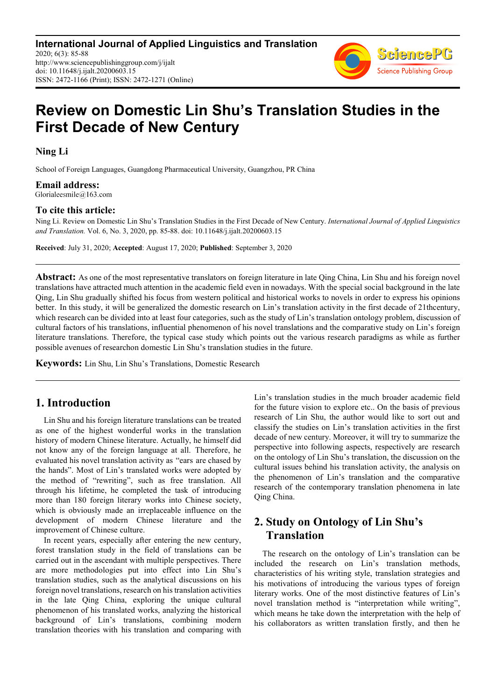**International Journal of Applied Linguistics and Translation** 2020; 6(3): 85-88 http://www.sciencepublishinggroup.com/j/ijalt doi: 10.11648/j.ijalt.20200603.15 ISSN: 2472-1166 (Print); ISSN: 2472-1271 (Online)



# **Review on Domestic Lin Shu's Translation Studies in the First Decade of New Century**

**Ning Li** 

School of Foreign Languages, Guangdong Pharmaceutical University, Guangzhou, PR China

# **Email address:**<br>Glorialeesmile@163.com

#### **To cite this article:**

Ning Li. Review on Domestic Lin Shu's Translation Studies in the First Decade of New Century. *International Journal of Applied Linguistics and Translation.* Vol. 6, No. 3, 2020, pp. 85-88. doi: 10.11648/j.ijalt.20200603.15

**Received**: July 31, 2020; **Accepted**: August 17, 2020; **Published**: September 3, 2020

**Abstract:** As one of the most representative translators on foreign literature in late Qing China, Lin Shu and his foreign novel translations have attracted much attention in the academic field even in nowadays. With the special social background in the late Qing, Lin Shu gradually shifted his focus from western political and historical works to novels in order to express his opinions better. In this study, it will be generalized the domestic research on Lin's translation activity in the first decade of 21thcentury, which research can be divided into at least four categories, such as the study of Lin's translation ontology problem, discussion of cultural factors of his translations, influential phenomenon of his novel translations and the comparative study on Lin's foreign literature translations. Therefore, the typical case study which points out the various research paradigms as while as further possible avenues of researchon domestic Lin Shu's translation studies in the future.

**Keywords:** Lin Shu, Lin Shu's Translations, Domestic Research

### **1. Introduction**

Lin Shu and his foreign literature translations can be treated as one of the highest wonderful works in the translation history of modern Chinese literature. Actually, he himself did not know any of the foreign language at all. Therefore, he evaluated his novel translation activity as "ears are chased by the hands". Most of Lin's translated works were adopted by the method of "rewriting", such as free translation. All through his lifetime, he completed the task of introducing more than 180 foreign literary works into Chinese society, which is obviously made an irreplaceable influence on the development of modern Chinese literature and the improvement of Chinese culture.

In recent years, especially after entering the new century, forest translation study in the field of translations can be carried out in the ascendant with multiple perspectives. There are more methodologies put into effect into Lin Shu's translation studies, such as the analytical discussions on his foreign novel translations, research on his translation activities in the late Qing China, exploring the unique cultural phenomenon of his translated works, analyzing the historical background of Lin's translations, combining modern translation theories with his translation and comparing with Lin's translation studies in the much broader academic field for the future vision to explore etc.. On the basis of previous research of Lin Shu, the author would like to sort out and classify the studies on Lin's translation activities in the first decade of new century. Moreover, it will try to summarize the perspective into following aspects, respectively are research on the ontology of Lin Shu's translation, the discussion on the cultural issues behind his translation activity, the analysis on the phenomenon of Lin's translation and the comparative research of the contemporary translation phenomena in late Qing China.

## **2. Study on Ontology of Lin Shu's Translation**

The research on the ontology of Lin's translation can be included the research on Lin's translation methods, characteristics of his writing style, translation strategies and his motivations of introducing the various types of foreign literary works. One of the most distinctive features of Lin's novel translation method is "interpretation while writing", which means he take down the interpretation with the help of his collaborators as written translation firstly, and then he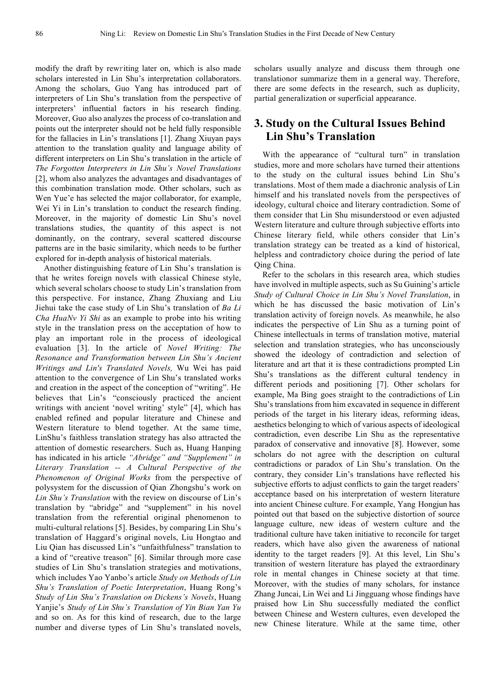modify the draft by rewriting later on, which is also made scholars interested in Lin Shu's interpretation collaborators. Among the scholars, Guo Yang has introduced part of interpreters of Lin Shu's translation from the perspective of interpreters' influential factors in his research finding. Moreover, Guo also analyzes the process of co-translation and points out the interpreter should not be held fully responsible for the fallacies in Lin's translations [1]. Zhang Xiuyan pays attention to the translation quality and language ability of different interpreters on Lin Shu's translation in the article of *The Forgotten Interpreters in Lin Shu's Novel Translations*  [2], whom also analyzes the advantages and disadvantages of this combination translation mode. Other scholars, such as Wen Yue'e has selected the major collaborator, for example, Wei Yi in Lin's translation to conduct the research finding. Moreover, in the majority of domestic Lin Shu's novel translations studies, the quantity of this aspect is not dominantly, on the contrary, several scattered discourse patterns are in the basic similarity, which needs to be further explored for in-depth analysis of historical materials.

Another distinguishing feature of Lin Shu's translation is that he writes foreign novels with classical Chinese style, which several scholars choose to study Lin's translation from this perspective. For instance, Zhang Zhuxiang and Liu Jiehui take the case study of Lin Shu's translation of *Ba Li Cha HuaNv Yi Shi* as an example to probe into his writing style in the translation press on the acceptation of how to play an important role in the process of ideological evaluation [3]. In the article of *Novel Writing: The Resonance and Transformation between Lin Shu's Ancient Writings and Lin's Translated Novels,* Wu Wei has paid attention to the convergence of Lin Shu's translated works and creation in the aspect of the conception of "writing". He believes that Lin's "consciously practiced the ancient writings with ancient 'novel writing' style" [4], which has enabled refined and popular literature and Chinese and Western literature to blend together. At the same time, LinShu's faithless translation strategy has also attracted the attention of domestic researchers. Such as, Huang Hanping has indicated in his article *"Abridge" and "Supplement" in Literary Translation -- A Cultural Perspective of the Phenomenon of Original Works* from the perspective of polysystem for the discussion of Qian Zhongshu's work on *Lin Shu's Translation* with the review on discourse of Lin's translation by "abridge" and "supplement" in his novel translation from the referential original phenomenon to multi-cultural relations [5]. Besides, by comparing Lin Shu's translation of Haggard's original novels, Liu Hongtao and Liu Qian has discussed Lin's "unfaithfulness" translation to a kind of "creative treason" [6]. Similar through more case studies of Lin Shu's translation strategies and motivations, which includes Yao Yanbo's article *Study on Methods of Lin Shu's Translation of Poetic Interpretation*, Huang Rong's *Study of Lin Shu's Translation on Dickens's Novels*, Huang Yanjie's *Study of Lin Shu's Translation of Yin Bian Yan Yu*  and so on. As for this kind of research, due to the large number and diverse types of Lin Shu's translated novels,

scholars usually analyze and discuss them through one translationor summarize them in a general way. Therefore, there are some defects in the research, such as duplicity, partial generalization or superficial appearance.

### **3. Study on the Cultural Issues Behind Lin Shu's Translation**

With the appearance of "cultural turn" in translation studies, more and more scholars have turned their attentions to the study on the cultural issues behind Lin Shu's translations. Most of them made a diachronic analysis of Lin himself and his translated novels from the perspectives of ideology, cultural choice and literary contradiction. Some of them consider that Lin Shu misunderstood or even adjusted Western literature and culture through subjective efforts into Chinese literary field, while others consider that Lin's translation strategy can be treated as a kind of historical, helpless and contradictory choice during the period of late Qing China.

Refer to the scholars in this research area, which studies have involved in multiple aspects, such as Su Guining's article *Study of Cultural Choice in Lin Shu's Novel Translation*, in which he has discussed the basic motivation of Lin's translation activity of foreign novels. As meanwhile, he also indicates the perspective of Lin Shu as a turning point of Chinese intellectuals in terms of translation motive, material selection and translation strategies, who has unconsciously showed the ideology of contradiction and selection of literature and art that it is these contradictions prompted Lin Shu's translations as the different cultural tendency in different periods and positioning [7]. Other scholars for example, Ma Bing goes straight to the contradictions of Lin Shu's translations from him excavated in sequence in different periods of the target in his literary ideas, reforming ideas, aesthetics belonging to which of various aspects of ideological contradiction, even describe Lin Shu as the representative paradox of conservative and innovative [8]. However, some scholars do not agree with the description on cultural contradictions or paradox of Lin Shu's translation. On the contrary, they consider Lin's translations have reflected his subjective efforts to adjust conflicts to gain the target readers' acceptance based on his interpretation of western literature into ancient Chinese culture. For example, Yang Hongjun has pointed out that based on the subjective distortion of source language culture, new ideas of western culture and the traditional culture have taken initiative to reconcile for target readers, which have also given the awareness of national identity to the target readers [9]. At this level, Lin Shu's transition of western literature has played the extraordinary role in mental changes in Chinese society at that time. Moreover, with the studies of many scholars, for instance Zhang Juncai, Lin Wei and Li Jingguang whose findings have praised how Lin Shu successfully mediated the conflict between Chinese and Western cultures, even developed the new Chinese literature. While at the same time, other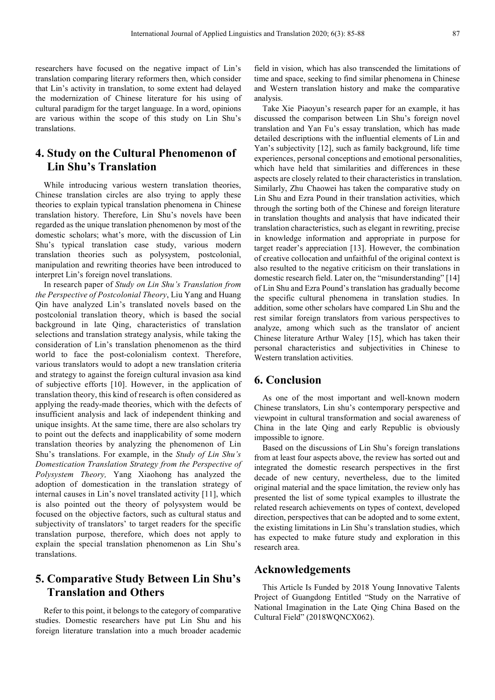researchers have focused on the negative impact of Lin's translation comparing literary reformers then, which consider that Lin's activity in translation, to some extent had delayed the modernization of Chinese literature for his using of cultural paradigm for the target language. In a word, opinions are various within the scope of this study on Lin Shu's translations.

## **4. Study on the Cultural Phenomenon of Lin Shu's Translation**

While introducing various western translation theories, Chinese translation circles are also trying to apply these theories to explain typical translation phenomena in Chinese translation history. Therefore, Lin Shu's novels have been regarded as the unique translation phenomenon by most of the domestic scholars; what's more, with the discussion of Lin Shu's typical translation case study, various modern translation theories such as polysystem, postcolonial, manipulation and rewriting theories have been introduced to interpret Lin's foreign novel translations.

In research paper of *Study on Lin Shu's Translation from the Perspective of Postcolonial Theory*, Liu Yang and Huang Qin have analyzed Lin's translated novels based on the postcolonial translation theory, which is based the social background in late Qing, characteristics of translation selections and translation strategy analysis, while taking the consideration of Lin's translation phenomenon as the third world to face the post-colonialism context. Therefore, various translators would to adopt a new translation criteria and strategy to against the foreign cultural invasion asa kind of subjective efforts [10]. However, in the application of translation theory, this kind of research is often considered as applying the ready-made theories, which with the defects of insufficient analysis and lack of independent thinking and unique insights. At the same time, there are also scholars try to point out the defects and inapplicability of some modern translation theories by analyzing the phenomenon of Lin Shu's translations. For example, in the *Study of Lin Shu's Domestication Translation Strategy from the Perspective of Polysystem Theory,* Yang Xiaohong has analyzed the adoption of domestication in the translation strategy of internal causes in Lin's novel translated activity [11], which is also pointed out the theory of polysystem would be focused on the objective factors, such as cultural status and subjectivity of translators' to target readers for the specific translation purpose, therefore, which does not apply to explain the special translation phenomenon as Lin Shu's translations.

## **5. Comparative Study Between Lin Shu's Translation and Others**

Refer to this point, it belongs to the category of comparative studies. Domestic researchers have put Lin Shu and his foreign literature translation into a much broader academic field in vision, which has also transcended the limitations of time and space, seeking to find similar phenomena in Chinese and Western translation history and make the comparative analysis.

Take Xie Piaoyun's research paper for an example, it has discussed the comparison between Lin Shu's foreign novel translation and Yan Fu's essay translation, which has made detailed descriptions with the influential elements of Lin and Yan's subjectivity [12], such as family background, life time experiences, personal conceptions and emotional personalities, which have held that similarities and differences in these aspects are closely related to their characteristics in translation. Similarly, Zhu Chaowei has taken the comparative study on Lin Shu and Ezra Pound in their translation activities, which through the sorting both of the Chinese and foreign literature in translation thoughts and analysis that have indicated their translation characteristics, such as elegant in rewriting, precise in knowledge information and appropriate in purpose for target reader's appreciation [13]. However, the combination of creative collocation and unfaithful of the original context is also resulted to the negative criticism on their translations in domestic research field. Later on, the "misunderstanding" [14] of Lin Shu and Ezra Pound's translation has gradually become the specific cultural phenomena in translation studies. In addition, some other scholars have compared Lin Shu and the rest similar foreign translators from various perspectives to analyze, among which such as the translator of ancient Chinese literature Arthur Waley [15], which has taken their personal characteristics and subjectivities in Chinese to Western translation activities.

#### **6. Conclusion**

As one of the most important and well-known modern Chinese translators, Lin shu's contemporary perspective and viewpoint in cultural transformation and social awareness of China in the late Qing and early Republic is obviously impossible to ignore.

Based on the discussions of Lin Shu's foreign translations from at least four aspects above, the review has sorted out and integrated the domestic research perspectives in the first decade of new century, nevertheless, due to the limited original material and the space limitation, the review only has presented the list of some typical examples to illustrate the related research achievements on types of context, developed direction, perspectives that can be adopted and to some extent, the existing limitations in Lin Shu's translation studies, which has expected to make future study and exploration in this research area.

#### **Acknowledgements**

This Article Is Funded by 2018 Young Innovative Talents Project of Guangdong Entitled "Study on the Narrative of National Imagination in the Late Qing China Based on the Cultural Field" (2018WQNCX062).